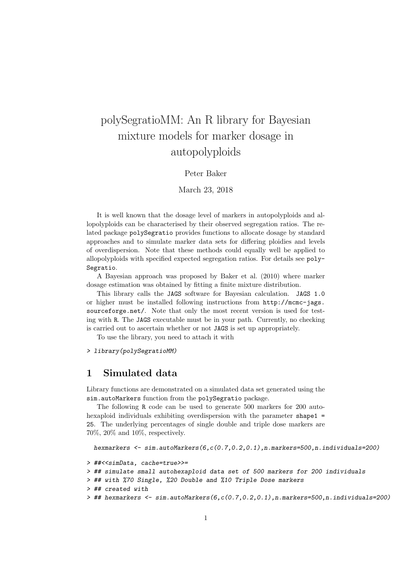# polySegratioMM: An R library for Bayesian mixture models for marker dosage in autopolyploids

#### Peter Baker

#### March 23, 2018

It is well known that the dosage level of markers in autopolyploids and allopolyploids can be characterised by their observed segregation ratios. The related package polySegratio provides functions to allocate dosage by standard approaches and to simulate marker data sets for differing ploidies and levels of overdispersion. Note that these methods could equally well be applied to allopolyploids with specified expected segregation ratios. For details see poly-Segratio.

A Bayesian approach was proposed by Baker et al. (2010) where marker dosage estimation was obtained by fitting a finite mixture distribution.

This library calls the JAGS software for Bayesian calculation. JAGS 1.0 or higher must be installed following instructions from http://mcmc-jags. sourceforge.net/. Note that only the most recent version is used for testing with R. The JAGS executable must be in your path. Currently, no checking is carried out to ascertain whether or not JAGS is set up appropriately.

To use the library, you need to attach it with

> library(polySegratioMM)

### 1 Simulated data

Library functions are demonstrated on a simulated data set generated using the sim.autoMarkers function from the polySegratio package.

The following R code can be used to generate 500 markers for 200 autohexaploid individuals exhibiting overdispersion with the parameter shape 1 = 25. The underlying percentages of single double and triple dose markers are 70%, 20% and 10%, respectively.

hexmarkers <- sim.autoMarkers(6,c(0.7,0.2,0.1),n.markers=500,n.individuals=200)

```
> ##<<simData, cache=true>>=
```
> ## simulate small autohexaploid data set of 500 markers for 200 individuals

```
> ## with %70 Single, %20 Double and %10 Triple Dose markers
```

```
> ## created with
```

```
> ## hexmarkers <- sim.autoMarkers(6,c(0.7,0.2,0.1),n.markers=500,n.individuals=200)
```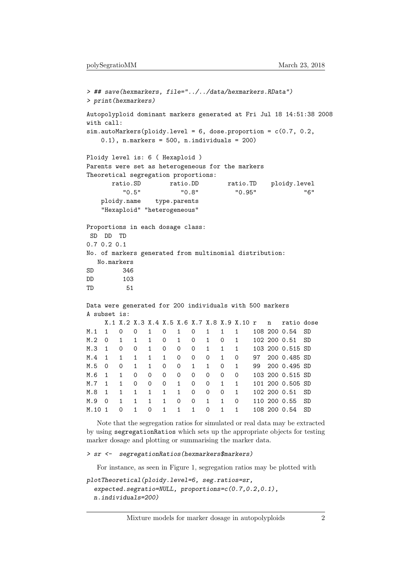```
> ## save(hexmarkers, file="../../data/hexmarkers.RData")
> print(hexmarkers)
Autopolyploid dominant markers generated at Fri Jul 18 14:51:38 2008
with call:
sim.autoMarkers(ploidy.level = 6, dose.proportion = c(0.7, 0.2,0.1, n.markers = 500, n.individuals = 200)
Ploidy level is: 6 ( Hexaploid )
Parents were set as heterogeneous for the markers
Theoretical segregation proportions:
     ratio.SD ratio.DD ratio.TD ploidy.level
        "0.5" "0.8" "0.95" "6"
   ploidy.name type.parents
   "Hexaploid" "heterogeneous"
Proportions in each dosage class:
SD DD TD
0.7 0.2 0.1
No. of markers generated from multinomial distribution:
  No.markers
SD 346
DD 103
TD 51
Data were generated for 200 individuals with 500 markers
A subset is:
    X.1 X.2 X.3 X.4 X.5 X.6 X.7 X.8 X.9 X.10 r n ratio dose
M.1 1 0 0 1 0 1 0 1 1 1 108 200 0.54 SD
M.2 0 1 1 1 0 1 0 1 0 1 102 200 0.51 SD
M.3 1 0 0 1 0 0 0 1 1 1 103 200 0.515 SD
M.4 1 1 1 1 1 0 0 0 1 0 97 200 0.485 SD
M.5 0 0 1 1 0 0 1 1 0 1 99 200 0.495 SD
M.6 1 1 0 0 0 0 0 0 0 0 103 200 0.515 SD
M.7 1 1 0 0 0 1 0 0 1 1 101 200 0.505 SD
M.8 1 1 1 1 1 1 0 0 0 1 102 200 0.51 SD
M.9 0 1 1 1 1 0 0 1 1 0 110 200 0.55 SD
M.10 1 0 1 0 1 1 1 0 1 1 108 200 0.54 SD
```
Note that the segregation ratios for simulated or real data may be extracted by using segregationRatios which sets up the appropriate objects for testing marker dosage and plotting or summarising the marker data.

```
> sr <- segregationRatios(hexmarkers$markers)
```
For instance, as seen in Figure 1, segregation ratios may be plotted with

```
plotTheoretical(ploidy.level=6, seg.ratios=sr,
  expected.segratio=NULL, proportions=c(0.7,0.2,0.1),
  n.individuals=200)
```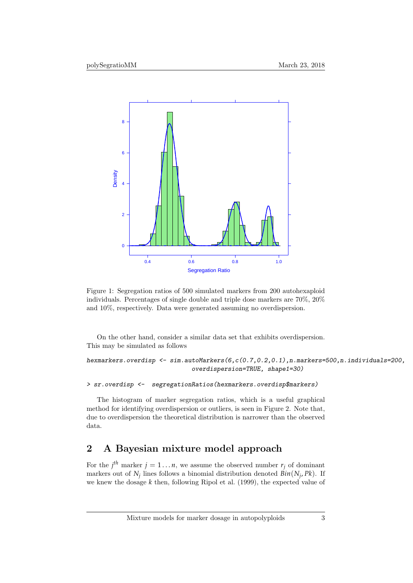

Figure 1: Segregation ratios of 500 simulated markers from 200 autohexaploid individuals. Percentages of single double and triple dose markers are 70%, 20% and 10%, respectively. Data were generated assuming no overdispersion.

On the other hand, consider a similar data set that exhibits overdispersion. This may be simulated as follows

hexmarkers.overdisp <- sim.autoMarkers(6,c(0.7,0.2,0.1),n.markers=500,n.individuals=200, overdispersion=TRUE, shape1=30)

> sr.overdisp <- segregationRatios(hexmarkers.overdisp\$markers)

The histogram of marker segregation ratios, which is a useful graphical method for identifying overdispersion or outliers, is seen in Figure 2. Note that, due to overdispersion the theoretical distribution is narrower than the observed data.

## 2 A Bayesian mixture model approach

For the  $j^{th}$  marker  $j = 1 \ldots n$ , we assume the observed number  $r_j$  of dominant markers out of  $N_j$  lines follows a binomial distribution denoted  $Bin(N_j, PK)$ . If we knew the dosage *k* then, following Ripol et al. (1999), the expected value of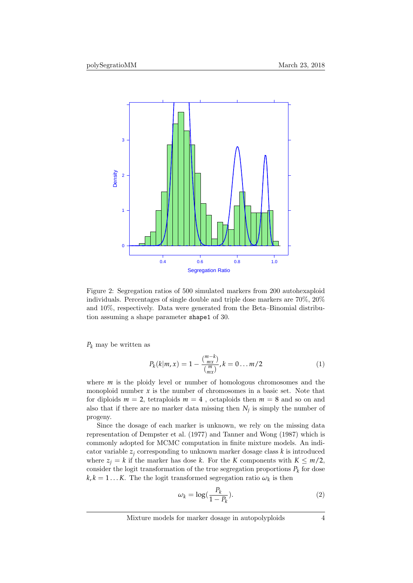

Figure 2: Segregation ratios of 500 simulated markers from 200 autohexaploid individuals. Percentages of single double and triple dose markers are 70%, 20% and 10%, respectively. Data were generated from the Beta–Binomial distribution assuming a shape parameter shape1 of 30.

*P<sup>k</sup>* may be written as

$$
P_k(k|m,x) = 1 - \frac{\binom{m-k}{mx}}{\binom{m}{mx}}, k = 0 \dots m/2
$$
 (1)

where *m* is the ploidy level or number of homologous chromosomes and the monoploid number  $x$  is the number of chromosomes in a basic set. Note that for diploids  $m = 2$ , tetraploids  $m = 4$ , octaploids then  $m = 8$  and so on and also that if there are no marker data missing then *N<sup>j</sup>* is simply the number of progeny.

Since the dosage of each marker is unknown, we rely on the missing data representation of Dempster et al. (1977) and Tanner and Wong (1987) which is commonly adopted for MCMC computation in finite mixture models. An indicator variable  $z_i$  corresponding to unknown marker dosage class  $k$  is introduced where  $z_j = k$  if the marker has dose *k*. For the *K* components with  $K \leq m/2$ , consider the logit transformation of the true segregation proportions  $P_k$  for dose  $k, k = 1...K$ . The the logit transformed segregation ratio  $\omega_k$  is then

$$
\omega_k = \log(\frac{P_k}{1 - P_k}).\tag{2}
$$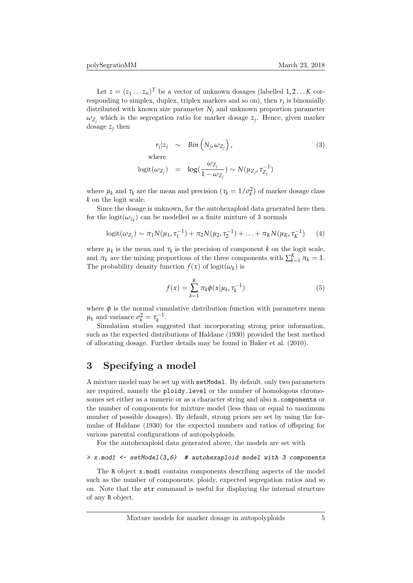Let  $z = (z_1 \dots z_n)^T$  be a vector of unknown dosages (labelled  $1, 2, \dots K$  corresponding to simplex, duplex, triplex markers and so on), then *r<sup>j</sup>* is binomially distributed with known size parameter  $N_j$  and unknown proportion parameter  $\omega_{Z_j}$  which is the segregation ratio for marker dosage  $z_j$ . Hence, given marker dosage  $z_j$  then

$$
r_j|z_j \sim \text{Bin}\left(N_j, \omega_{Z_j}\right),\tag{3}
$$
\n
$$
\text{where}
$$

$$
logit(\omega_{Z_j}) = log(\frac{\omega_{Z_j}}{1 - \omega_{Z_j}}) \sim N(\mu_{Z_j}, \tau_{Z_j}^{-1})
$$

where  $\mu_k$  and  $\tau_k$  are the mean and precision  $(\tau_k = 1/\sigma_k^2)$  of marker dosage class *k* on the logit scale.

Since the dosage is unknown, for the autohexaploid data generated here then for the logit $(\omega_{z_k})$  can be modelled as a finite mixture of 3 normals

$$
logit(\omega_{Z_j}) \sim \pi_1 N(\mu_1, \tau_1^{-1}) + \pi_2 N(\mu_2, \tau_2^{-1}) + \ldots + \pi_K N(\mu_K, \tau_K^{-1}) \qquad (4)
$$

where  $\mu_k$  is the mean and  $\tau_k$  is the precision of component *k* on the logit scale, and  $\pi_k$  are the mixing proportions of the three components with  $\sum_{k=1}^{K} \pi_k = 1$ . The probability density function  $f(x)$  of logit $(\omega_k)$  is

$$
f(x) = \sum_{k=1}^{K} \pi_k \phi(x | \mu_k, \tau_k^{-1})
$$
 (5)

where  $\phi$  is the normal cumulative distribution function with parameters mean  $\mu_k$  and variance  $\sigma_k^2 = \tau_k^{-1}$ .

Simulation studies suggested that incorporating strong prior information, such as the expected distributions of Haldane (1930) provided the best method of allocating dosage. Further details may be found in Baker et al. (2010).

## 3 Specifying a model

A mixture model may be set up with setModel. By default, only two parameters are required, namely the ploidy.level or the number of homologous chromosomes set either as a numeric or as a character string and also n.components or the number of components for mixture model (less than or equal to maximum number of possible dosages). By default, strong priors are set by using the formulae of Haldane (1930) for the expected numbers and ratios of offspring for various parental configurations of autopolyploids.

For the autohexaploid data generated above, the models are set with

#### $> x$ .mod1 <- setModel(3,6) # autohexaploid model with 3 components

The R object x.mod1 contains components describing aspects of the model such as the number of components, ploidy, expected segregation ratios and so on. Note that the str command is useful for displaying the internal structure of any R object.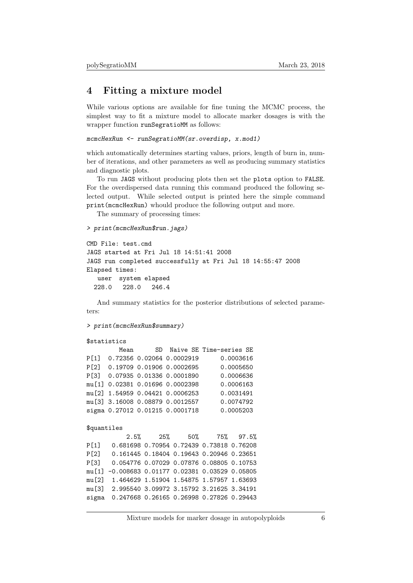## 4 Fitting a mixture model

While various options are available for fine tuning the MCMC process, the simplest way to fit a mixture model to allocate marker dosages is with the wrapper function runSegratioMM as follows:

```
mcmcHexRun <- runSegratioMM(sr.overdisp, x.mod1)
```
which automatically determines starting values, priors, length of burn in, number of iterations, and other parameters as well as producing summary statistics and diagnostic plots.

To run JAGS without producing plots then set the plots option to FALSE. For the overdispersed data running this command produced the following selected output. While selected output is printed here the simple command print(mcmcHexRun) whould produce the following output and more.

The summary of processing times:

```
> print(mcmcHexRun$run.jags)
```

```
CMD File: test.cmd
JAGS started at Fri Jul 18 14:51:41 2008
JAGS run completed successfully at Fri Jul 18 14:55:47 2008
Elapsed times:
  user system elapsed
  228.0 228.0 246.4
```
And summary statistics for the posterior distributions of selected parameters:

> print(mcmcHexRun\$summary)

#### \$statistics

|             | Mean                            |  |  | SD Naive SE Time-series SE                  |           |  |
|-------------|---------------------------------|--|--|---------------------------------------------|-----------|--|
| P[1]        | 0.72356 0.02064 0.0002919       |  |  |                                             | 0.0003616 |  |
| P[2]        | 0.19709 0.01906 0.0002695       |  |  |                                             | 0.0005650 |  |
| P[3]        | 0.07935 0.01336 0.0001890       |  |  |                                             | 0.0006636 |  |
| mu[1]       | 0.02381 0.01696 0.0002398       |  |  |                                             | 0.0006163 |  |
| mu [2]      | 1.54959 0.04421 0.0006253       |  |  |                                             | 0.0031491 |  |
| mu [3]      | 3.16008 0.08879 0.0012557       |  |  |                                             | 0.0074792 |  |
|             | sigma 0.27012 0.01215 0.0001718 |  |  |                                             | 0.0005203 |  |
|             |                                 |  |  |                                             |           |  |
| \$quantiles |                                 |  |  |                                             |           |  |
|             | 2.5%                            |  |  | 25% 50% 75% 97.5%                           |           |  |
| P[1]        |                                 |  |  | 0.681698 0.70954 0.72439 0.73818 0.76208    |           |  |
| P[2]        |                                 |  |  | 0.161445 0.18404 0.19643 0.20946 0.23651    |           |  |
| P[3]        |                                 |  |  | 0.054776 0.07029 0.07876 0.08805 0.10753    |           |  |
| mu[1]       |                                 |  |  | $-0.008683$ 0.01177 0.02381 0.03529 0.05805 |           |  |
| mu[2]       |                                 |  |  | 1.464629 1.51904 1.54875 1.57957 1.63693    |           |  |
| mu[3]       |                                 |  |  | 2.995540 3.09972 3.15792 3.21625 3.34191    |           |  |
| sigma       |                                 |  |  | 0.247668 0.26165 0.26998 0.27826 0.29443    |           |  |
|             |                                 |  |  |                                             |           |  |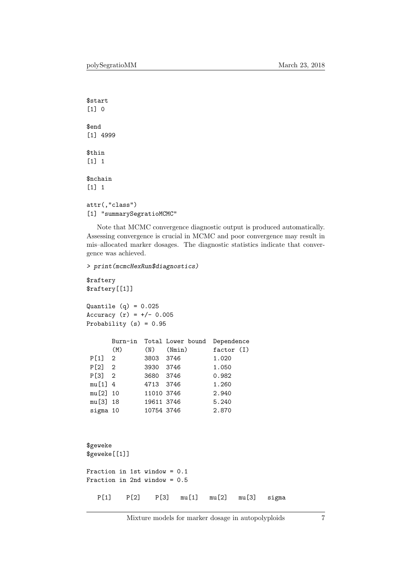```
$start
[1] 0
$end
[1] 4999
$thin
[1] 1
$nchain
[1] 1
attr(,"class")
[1] "summarySegratioMCMC"
```
Note that MCMC convergence diagnostic output is produced automatically. Assessing convergence is crucial in MCMC and poor convergence may result in mis–allocated marker dosages. The diagnostic statistics indicate that convergence was achieved.

> print(mcmcHexRun\$diagnostics)

```
$raftery
$raftery[[1]]
Quantile (q) = 0.025Accuracy (r) = +/- 0.005Probability (s) = 0.95Burn-in Total Lower bound Dependence
     (M) (N) (Nmin) factor (I)
P[1] 2 3803 3746 1.020
P[2] 2 3930 3746 1.050
P[3] 2 3680 3746 0.982
mu[1] 4 4713 3746 1.260
mu[2] 10 11010 3746 2.940
mu[3] 18 19611 3746 5.240
sigma 10 10754 3746 2.870
$geweke
$geweke[[1]]
Fraction in 1st window = 0.1
Fraction in 2nd window = 0.5
  P[1] P[2] P[3] mu[1] mu[2] mu[3] sigma
```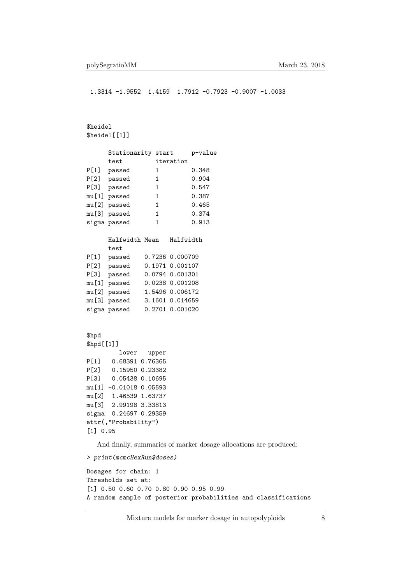1.3314 -1.9552 1.4159 1.7912 -0.7923 -0.9007 -1.0033

#### \$heidel \$heidel[[1]]

|       | Stationarity start |           | p-value |
|-------|--------------------|-----------|---------|
|       | test               | iteration |         |
| P[1]  | passed             | 1         | 0.348   |
| P [2] | passed             | 1         | 0.904   |
| P [3] | passed             | 1         | 0.547   |
|       | mu[1] passed       | 1         | 0.387   |
|       | mu[2] passed       | 1         | 0.465   |
|       | mu[3] passed       | 1         | 0.374   |
|       | sigma passed       | 1         | 0.913   |
|       |                    |           |         |
|       |                    |           |         |

|              | Halfwidth       |
|--------------|-----------------|
| test         |                 |
| passed       | 0.7236 0.000709 |
| passed       | 0.1971 0.001107 |
| passed       | 0.0794 0.001301 |
| mu[1] passed | 0.0238 0.001208 |
| mu[2] passed | 1.5496 0.006172 |
| mu[3] passed | 3.1601 0.014659 |
| sigma passed | 0.2701 0.001020 |
|              | Halfwidth Mean  |

#### \$hpd

```
$hpd[[1]]
        lower upper
P[1] 0.68391 0.76365
P[2] 0.15950 0.23382
P[3] 0.05438 0.10695
mu[1] -0.01018 0.05593
mu[2] 1.46539 1.63737
mu[3] 2.99198 3.33813
sigma 0.24697 0.29359
attr(,"Probability")
[1] 0.95
```
And finally, summaries of marker dosage allocations are produced:

```
> print(mcmcHexRun$doses)
```

```
Dosages for chain: 1
Thresholds set at:
[1] 0.50 0.60 0.70 0.80 0.90 0.95 0.99
A random sample of posterior probabilities and classifications
```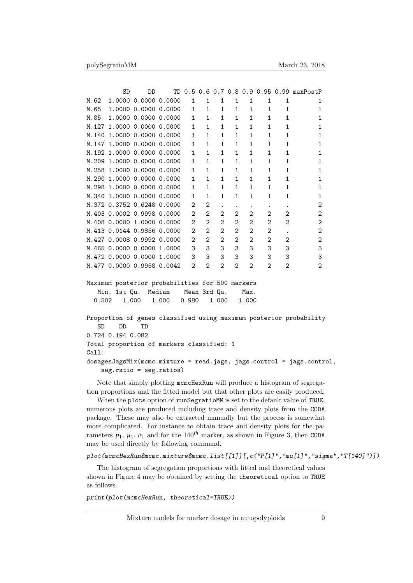|        | SD                  | תת                         | TD     |   |                |                |                |                |                   |                | 0.5 0.6 0.7 0.8 0.9 0.95 0.99 maxPostP |
|--------|---------------------|----------------------------|--------|---|----------------|----------------|----------------|----------------|-------------------|----------------|----------------------------------------|
| M.62   |                     | 1,0000 0,0000 0,0000       |        | 1 | 1              | 1              | 1              | 1              | 1                 | 1              |                                        |
| M.65   |                     | 1,0000 0,0000 0,0000       |        | 1 | 1              | 1              | 1              | 1              | 1                 |                |                                        |
| M.85   |                     | 1,0000 0,0000 0,0000       |        | 1 | 1              | 1              | 1              | 1              | 1                 | 1              |                                        |
| M.127  |                     | 1.0000 0.0000 0.0000       |        | 1 | 1              | 1              | 1              | 1              | 1                 |                |                                        |
| M.140  |                     | 1,0000 0,0000 0,0000       |        | 1 | 1              | 1              | 1              | 1              | 1                 | 1              |                                        |
| M. 147 |                     | 1,0000 0,0000 0,0000       |        | 1 | 1              | 1              | 1              | 1              | 1                 | 1              |                                        |
| M.192  |                     | 1,0000 0,0000              | 0.0000 | 1 | 1              | 1              | 1              | 1              | 1                 | 1              |                                        |
| M.209  |                     | 1,0000 0,0000 0,0000       |        | 1 | 1              | 1              | 1              | 1              | 1                 | 1              |                                        |
| M.258  |                     | 1,0000 0,0000 0,0000       |        | 1 | 1              | 1              | 1              | 1              | 1                 |                |                                        |
| M.290  |                     | 1,0000 0,0000 0,0000       |        | 1 | 1              | 1              | 1              | 1              |                   |                |                                        |
| M.298  |                     | 1,0000 0,0000 0,0000       |        | 1 | 1              | 1              | 1              | 1              | 1                 | 1              |                                        |
| M.340  |                     | 1,0000 0,0000              | 0.0000 | 1 | 1              | 1              | 1              | 1              | 1                 | 1              |                                        |
|        |                     | M.372 0.3752 0.6248 0.0000 |        | 2 | $\overline{2}$ |                | ٠              | ٠              |                   |                | 2                                      |
|        |                     | M.403 0.0002 0.9998 0.0000 |        | 2 | 2              | 2              | 2              | 2              | 2                 | 2              | 2                                      |
|        | M.408 0.0000 1.0000 |                            | 0.0000 | 2 | $\overline{2}$ | $\overline{2}$ | $\overline{2}$ | $\overline{2}$ | $\overline{2}$    | $\mathfrak{D}$ | $\mathcal{D}_{1}$                      |
| M.413  | 0.01440.9856        |                            | 0.0000 | 2 | $\mathcal{D}$  | $\mathcal{D}$  | $\mathfrak{D}$ | $\overline{2}$ | $\mathfrak{D}$    |                | $\mathcal{D}_{1}$                      |
|        |                     | M.427 0.0008 0.9992        | 0.0000 | 2 | $\overline{2}$ | $\overline{2}$ | $\overline{2}$ | 2              | $\overline{2}$    | 2              | $\mathcal{D}_{1}$                      |
|        | M.465 0.0000 0.0000 |                            | 1.0000 | 3 | 3              | 3              | 3              | 3              | 3                 | 3              | 3                                      |
| M.472  | 0.000000.0000       |                            | 1.0000 | 3 | 3              | 3              | 3              | 3              | 3                 | 3              | 3                                      |
|        |                     | M.477 0.0000 0.9958 0.0042 |        | 2 | $\mathcal{D}$  | $\mathfrak{D}$ | $\mathfrak{D}$ | $\overline{2}$ | $\mathcal{D}_{1}$ | $\mathcal{D}$  | $\mathfrak{D}$                         |

Maximum posterior probabilities for 500 markers Min. 1st Qu. Median Mean 3rd Qu. Max. 0.502 1.000 1.000 0.980 1.000 1.000

```
Proportion of genes classified using maximum posterior probability
   SD DD TD
0.724 0.194 0.082
Total proportion of markers classified: 1
Call:
dosagesJagsMix(mcmc.mixture = read.jags, jags.control = jags.control,
    seg.ratio = seg.ratios)
```
Note that simply plotting mcmcHexRun will produce a histogram of segregation proportions and the fitted model but that other plots are easily produced.

When the plots option of runSegratioMM is set to the default value of TRUE, numerous plots are produced including trace and density plots from the CODA package. These may also be extracted manually but the process is somewhat more complicated. For instance to obtain trace and density plots for the parameters  $p_1$ ,  $\mu_1$ ,  $\sigma_1$  and for the 140<sup>th</sup> marker, as shown in Figure 3, then CODA may be used directly by following command.

#### plot(mcmcHexRun\$mcmc.mixture\$mcmc.list[[1]][,c("P[1]","mu[1]","sigma","T[140]")])

The histogram of segregation proportions with fitted and theoretical values shown in Figure 4 may be obtained by setting the theoretical option to TRUE as follows.

print(plot(mcmcHexRun, theoretical=TRUE))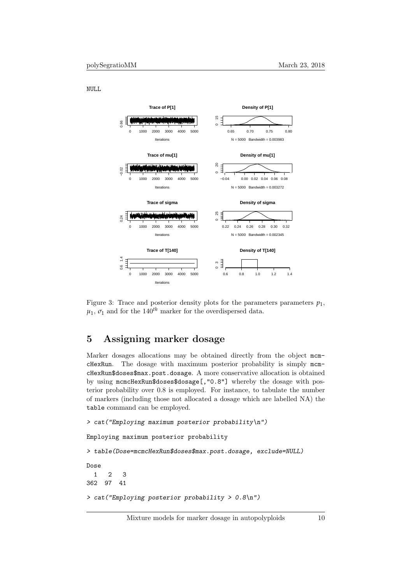NULL



Figure 3: Trace and posterior density plots for the parameters parameters  $p_1$ ,  $\mu_1$ ,  $\sigma_1$  and for the 140<sup>th</sup> marker for the overdispersed data.

## 5 Assigning marker dosage

Marker dosages allocations may be obtained directly from the object mcmcHexRun. The dosage with maximum posterior probability is simply mcmcHexRun\$doses\$max.post.dosage. A more conservative allocation is obtained by using mcmcHexRun\$doses\$dosage[,"0.8"] whereby the dosage with posterior probability over 0.8 is employed. For instance, to tabulate the number of markers (including those not allocated a dosage which are labelled NA) the table command can be employed.

```
> cat("Employing maximum posterior probability\n")
Employing maximum posterior probability
> table(Dose=mcmcHexRun$doses$max.post.dosage, exclude=NULL)
Dose
  1 2 3
362 97 41
> cat("Employing posterior probability > 0.8\n")
```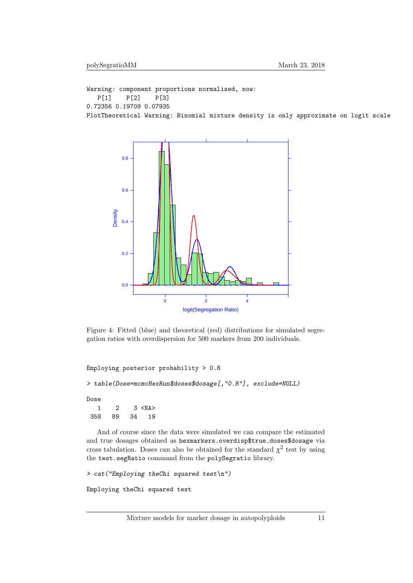Warning: component proportions normalised, now: P[1] P[2] P[3] 0.72356 0.19709 0.07935 PlotTheoretical Warning: Binomial mixture density is only approximate on logit scale



Figure 4: Fitted (blue) and theoretical (red) distributions for simulated segregation ratios with overdispersion for 500 markers from 200 individuals.

```
Employing posterior probability > 0.8
```

```
> table(Dose=mcmcHexRun$doses$dosage[,"0.8"], exclude=NULL)
```
Dose

1 2 3 <NA> 358 89 34 19

And of course since the data were simulated we can compare the estimated and true dosages obtained as hexmarkers.overdisp\$true.doses\$dosage via cross tabulation. Doses can also be obtained for the standard  $\chi^2$  test by using the test.segRatio command from the polySegratio library.

```
> cat("Employing theChi squared test\n")
Employing theChi squared test
```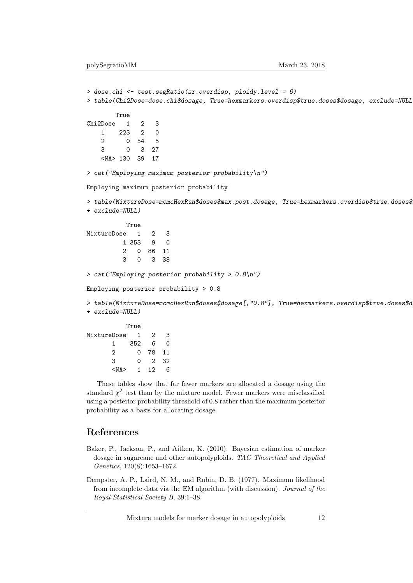```
> dose.chi <- test.segRatio(sr.overdisp, ploidy.level = 6)
> table(Chi2Dose=dose.chi$dosage, True=hexmarkers.overdisp$true.doses$dosage, exclude=NULL)
       True
Chi2Dose 1 2 3
   1 223 2 0
   2 0 54 5
   3 0 3 27
   <NA> 130 39 17
> cat("Employing maximum posterior probability\n")
Employing maximum posterior probability
> table(MixtureDose=mcmcHexRun$doses$max.post.dosage, True=hexmarkers.overdisp$true.doses$
+ exclude=NULL)
          True
MixtureDose 1 2 3
         1 353 9 0
         2 0 86 11
         3 0 3 38
> cat("Employing posterior probability > 0.8\n")
Employing posterior probability > 0.8
> table(MixtureDose=mcmcHexRun$doses$dosage[,"0.8"], True=hexmarkers.overdisp$true.doses$d
+ exclude=NULL)
          True
MixtureDose 1 2 3
      1 352 6 0
      2 0 78 11
      3 0 2 32
      <NA> 1 12 6
```
These tables show that far fewer markers are allocated a dosage using the standard  $\chi^2$  test than by the mixture model. Fewer markers were misclassified using a posterior probability threshold of 0.8 rather than the maximum posterior probability as a basis for allocating dosage.

## References

- Baker, P., Jackson, P., and Aitken, K. (2010). Bayesian estimation of marker dosage in sugarcane and other autopolyploids. TAG Theoretical and Applied Genetics, 120(8):1653–1672.
- Dempster, A. P., Laird, N. M., and Rubin, D. B. (1977). Maximum likelihood from incomplete data via the EM algorithm (with discussion). Journal of the Royal Statistical Society B, 39:1–38.